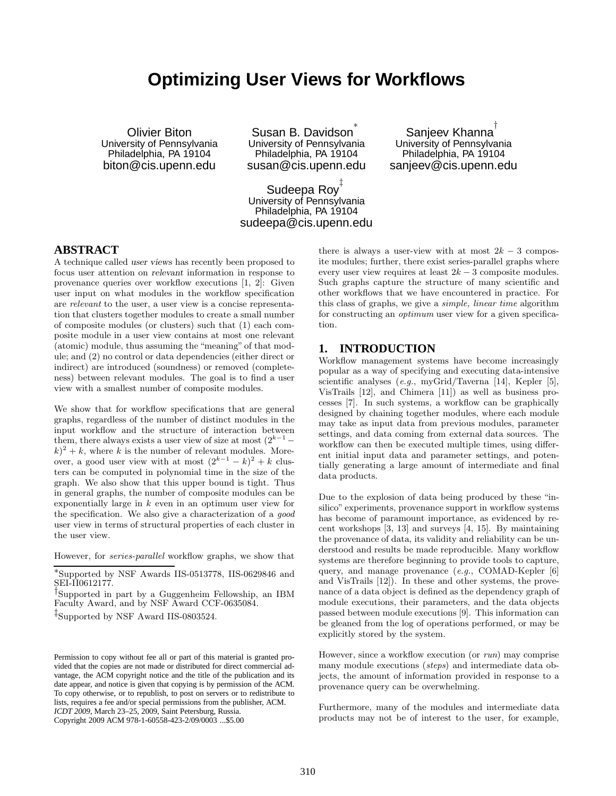# **Optimizing User Views for Workflows**

Olivier Biton University of Pennsylvania Philadelphia, PA 19104 biton@cis.upenn.edu

Susan B. Davidson<sup>\*</sup> University of Pennsylvania Philadelphia, PA 19104 susan@cis.upenn.edu

Sudeepa Roy ‡ University of Pennsylvania Philadelphia, PA 19104 sudeepa@cis.upenn.edu

Sanjeev Khanna $^\dagger$ University of Pennsylvania Philadelphia, PA 19104 sanjeev@cis.upenn.edu

# **ABSTRACT**

A technique called user views has recently been proposed to focus user attention on relevant information in response to provenance queries over workflow executions [1, 2]: Given user input on what modules in the workflow specification are *relevant* to the user, a user view is a concise representation that clusters together modules to create a small number of composite modules (or clusters) such that (1) each composite module in a user view contains at most one relevant (atomic) module, thus assuming the "meaning" of that module; and (2) no control or data dependencies (either direct or indirect) are introduced (soundness) or removed (completeness) between relevant modules. The goal is to find a user view with a smallest number of composite modules.

We show that for workflow specifications that are general graphs, regardless of the number of distinct modules in the input workflow and the structure of interaction between them, there always exists a user view of size at most  $(2^{k-1} (k)^2 + k$ , where k is the number of relevant modules. Moreover, a good user view with at most  $(2^{k-1} - k)^2 + k$  clusters can be computed in polynomial time in the size of the graph. We also show that this upper bound is tight. Thus in general graphs, the number of composite modules can be exponentially large in  $k$  even in an optimum user view for the specification. We also give a characterization of a *good* user view in terms of structural properties of each cluster in the user view.

However, for *series-parallel* workflow graphs, we show that

† Supported in part by a Guggenheim Fellowship, an IBM Faculty Award, and by NSF Award CCF-0635084.

‡ Supported by NSF Award IIS-0803524.

Permission to copy without fee all or part of this material is granted provided that the copies are not made or distributed for direct commercial advantage, the ACM copyright notice and the title of the publication and its date appear, and notice is given that copying is by permission of the ACM. To copy otherwise, or to republish, to post on servers or to redistribute to lists, requires a fee and/or special permissions from the publisher, ACM. *ICDT 2009*, March 23–25, 2009, Saint Petersburg, Russia. Copyright 2009 ACM 978-1-60558-423-2/09/0003 ...\$5.00

there is always a user-view with at most  $2k-3$  composite modules; further, there exist series-parallel graphs where every user view requires at least  $2k - 3$  composite modules. Such graphs capture the structure of many scientific and other workflows that we have encountered in practice. For this class of graphs, we give a *simple, linear time* algorithm for constructing an *optimum* user view for a given specification.

# **1. INTRODUCTION**

Workflow management systems have become increasingly popular as a way of specifying and executing data-intensive scientific analyses (*e.g.*, myGrid/Taverna [14], Kepler [5], VisTrails [12], and Chimera [11]) as well as business processes [7]. In such systems, a workflow can be graphically designed by chaining together modules, where each module may take as input data from previous modules, parameter settings, and data coming from external data sources. The workflow can then be executed multiple times, using different initial input data and parameter settings, and potentially generating a large amount of intermediate and final data products.

Due to the explosion of data being produced by these "insilico" experiments, provenance support in workflow systems has become of paramount importance, as evidenced by recent workshops [3, 13] and surveys [4, 15]. By maintaining the provenance of data, its validity and reliability can be understood and results be made reproducible. Many workflow systems are therefore beginning to provide tools to capture, query, and manage provenance (*e.g.*, COMAD-Kepler [6] and VisTrails [12]). In these and other systems, the provenance of a data object is defined as the dependency graph of module executions, their parameters, and the data objects passed between module executions [9]. This information can be gleaned from the log of operations performed, or may be explicitly stored by the system.

However, since a workflow execution (or *run*) may comprise many module executions (*steps*) and intermediate data objects, the amount of information provided in response to a provenance query can be overwhelming.

Furthermore, many of the modules and intermediate data products may not be of interest to the user, for example,

<sup>∗</sup> Supported by NSF Awards IIS-0513778, IIS-0629846 and SEI-II0612177.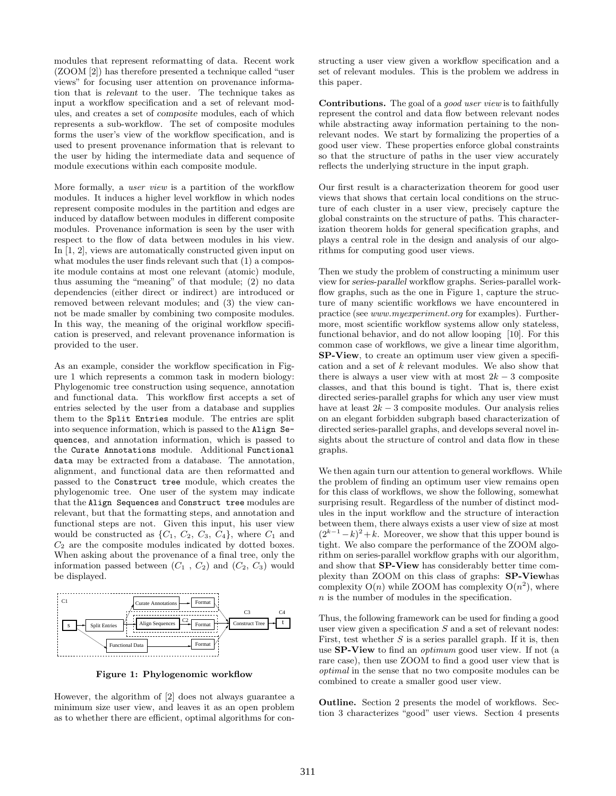modules that represent reformatting of data. Recent work (ZOOM [2]) has therefore presented a technique called "user views" for focusing user attention on provenance information that is relevant to the user. The technique takes as input a workflow specification and a set of relevant modules, and creates a set of composite modules, each of which represents a sub-workflow. The set of composite modules forms the user's view of the workflow specification, and is used to present provenance information that is relevant to the user by hiding the intermediate data and sequence of module executions within each composite module.

More formally, a *user view* is a partition of the workflow modules. It induces a higher level workflow in which nodes represent composite modules in the partition and edges are induced by dataflow between modules in different composite modules. Provenance information is seen by the user with respect to the flow of data between modules in his view. In [1, 2], views are automatically constructed given input on what modules the user finds relevant such that (1) a composite module contains at most one relevant (atomic) module, thus assuming the "meaning" of that module; (2) no data dependencies (either direct or indirect) are introduced or removed between relevant modules; and (3) the view cannot be made smaller by combining two composite modules. In this way, the meaning of the original workflow specification is preserved, and relevant provenance information is provided to the user.

As an example, consider the workflow specification in Figure 1 which represents a common task in modern biology: Phylogenomic tree construction using sequence, annotation and functional data. This workflow first accepts a set of entries selected by the user from a database and supplies them to the Split Entries module. The entries are split into sequence information, which is passed to the Align Sequences, and annotation information, which is passed to the Curate Annotations module. Additional Functional data may be extracted from a database. The annotation, alignment, and functional data are then reformatted and passed to the Construct tree module, which creates the phylogenomic tree. One user of the system may indicate that the Align Sequences and Construct tree modules are relevant, but that the formatting steps, and annotation and functional steps are not. Given this input, his user view would be constructed as  $\{C_1, C_2, C_3, C_4\}$ , where  $C_1$  and  $C_2$  are the composite modules indicated by dotted boxes. When asking about the provenance of a final tree, only the information passed between  $(C_1, C_2)$  and  $(C_2, C_3)$  would be displayed.



Figure 1: Phylogenomic workflow

However, the algorithm of [2] does not always guarantee a minimum size user view, and leaves it as an open problem as to whether there are efficient, optimal algorithms for constructing a user view given a workflow specification and a set of relevant modules. This is the problem we address in this paper.

Contributions. The goal of a *good user view* is to faithfully represent the control and data flow between relevant nodes while abstracting away information pertaining to the nonrelevant nodes. We start by formalizing the properties of a good user view. These properties enforce global constraints so that the structure of paths in the user view accurately reflects the underlying structure in the input graph.

Our first result is a characterization theorem for good user views that shows that certain local conditions on the structure of each cluster in a user view, precisely capture the global constraints on the structure of paths. This characterization theorem holds for general specification graphs, and plays a central role in the design and analysis of our algorithms for computing good user views.

Then we study the problem of constructing a minimum user view for series-parallel workflow graphs. Series-parallel workflow graphs, such as the one in Figure 1, capture the structure of many scientific workflows we have encountered in practice (see *www.myexperiment.org* for examples). Furthermore, most scientific workflow systems allow only stateless, functional behavior, and do not allow looping [10]. For this common case of workflows, we give a linear time algorithm, SP-View, to create an optimum user view given a specification and a set of  $k$  relevant modules. We also show that there is always a user view with at most  $2k-3$  composite classes, and that this bound is tight. That is, there exist directed series-parallel graphs for which any user view must have at least  $2k - 3$  composite modules. Our analysis relies on an elegant forbidden subgraph based characterization of directed series-parallel graphs, and develops several novel insights about the structure of control and data flow in these graphs.

We then again turn our attention to general workflows. While the problem of finding an optimum user view remains open for this class of workflows, we show the following, somewhat surprising result. Regardless of the number of distinct modules in the input workflow and the structure of interaction between them, there always exists a user view of size at most  $(2^{k-1}-k)^2+k$ . Moreover, we show that this upper bound is tight. We also compare the performance of the ZOOM algorithm on series-parallel workflow graphs with our algorithm, and show that SP-View has considerably better time complexity than ZOOM on this class of graphs: SP-Viewhas complexity  $O(n)$  while ZOOM has complexity  $O(n^2)$ , where n is the number of modules in the specification.

Thus, the following framework can be used for finding a good user view given a specification  $S$  and a set of relevant nodes: First, test whether  $S$  is a series parallel graph. If it is, then use SP-View to find an *optimum* good user view. If not (a rare case), then use ZOOM to find a good user view that is *optimal* in the sense that no two composite modules can be combined to create a smaller good user view.

Outline. Section 2 presents the model of workflows. Section 3 characterizes "good" user views. Section 4 presents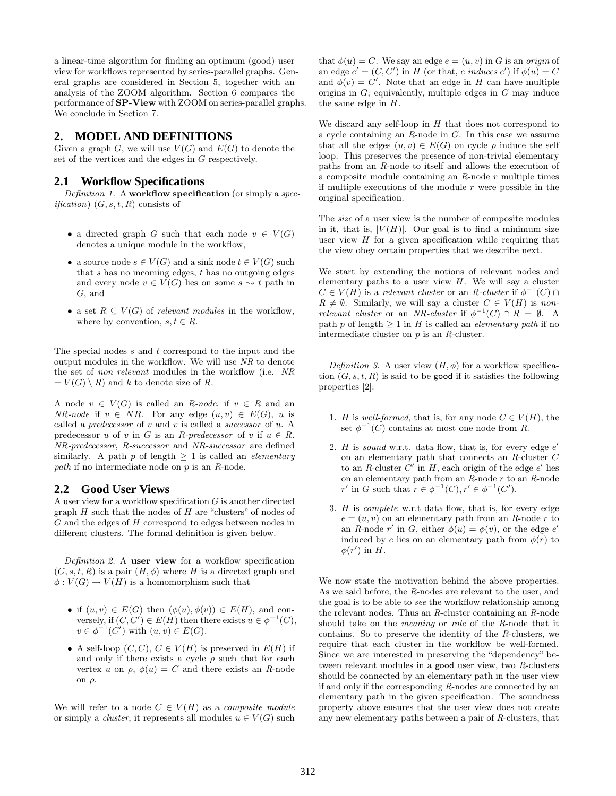a linear-time algorithm for finding an optimum (good) user view for workflows represented by series-parallel graphs. General graphs are considered in Section 5, together with an analysis of the ZOOM algorithm. Section 6 compares the performance of SP-View with ZOOM on series-parallel graphs. We conclude in Section 7.

# **2. MODEL AND DEFINITIONS**

Given a graph G, we will use  $V(G)$  and  $E(G)$  to denote the set of the vertices and the edges in G respectively.

### **2.1 Workflow Specifications**

*Definition 1.* A workflow specification (or simply a *specification*)  $(G, s, t, R)$  consists of

- a directed graph G such that each node  $v \in V(G)$ denotes a unique module in the workflow,
- a source node  $s \in V(G)$  and a sink node  $t \in V(G)$  such that s has no incoming edges,  $t$  has no outgoing edges and every node  $v \in V(G)$  lies on some  $s \leadsto t$  path in G, and
- a set  $R \subseteq V(G)$  of *relevant modules* in the workflow, where by convention,  $s, t \in R$ .

The special nodes s and t correspond to the input and the output modules in the workflow. We will use *NR* to denote the set of *non relevant* modules in the workflow (i.e. *NR*  $= V(G) \setminus R$  and k to denote size of R.

A node  $v \in V(G)$  is called an *R-node*, if  $v \in R$  and an *NR-node* if  $v \in NR$ . For any edge  $(u, v) \in E(G)$ , u is called a *predecessor* of v and v is called a *successor* of u. A predecessor u of v in G is an *R-predecessor* of v if  $u \in R$ . *NR-predecessor*, *R-successor* and *NR-successor* are defined similarly. A path p of length ≥ 1 is called an *elementary path* if no intermediate node on p is an *R*-node.

#### **2.2 Good User Views**

A user view for a workflow specification G is another directed graph  $H$  such that the nodes of  $H$  are "clusters" of nodes of G and the edges of H correspond to edges between nodes in different clusters. The formal definition is given below.

*Definition 2.* A user view for a workflow specification  $(G, s, t, R)$  is a pair  $(H, \phi)$  where H is a directed graph and  $\phi: V(G) \to V(H)$  is a homomorphism such that

- if  $(u, v) \in E(G)$  then  $(\phi(u), \phi(v)) \in E(H)$ , and conversely, if  $(C, C') \in E(H)$  then there exists  $u \in \phi^{-1}(C)$ ,  $v \in \phi^{-1}(C')$  with  $(u, v) \in E(G)$ .
- A self-loop  $(C, C), C \in V(H)$  is preserved in  $E(H)$  if and only if there exists a cycle  $\rho$  such that for each vertex u on  $\rho$ ,  $\phi(u) = C$  and there exists an *R*-node on ρ.

We will refer to a node  $C \in V(H)$  as a *composite module* or simply a *cluster*; it represents all modules  $u \in V(G)$  such that  $\phi(u) = C$ . We say an edge  $e = (u, v)$  in G is an *origin* of an edge  $e' = (C, C')$  in H (or that, e *induces* e') if  $\phi(u) = C$ and  $\phi(v) = C'$ . Note that an edge in H can have multiple origins in  $G$ ; equivalently, multiple edges in  $G$  may induce the same edge in H.

We discard any self-loop in  $H$  that does not correspond to a cycle containing an *R*-node in G. In this case we assume that all the edges  $(u, v) \in E(G)$  on cycle  $\rho$  induce the self loop. This preserves the presence of non-trivial elementary paths from an *R*-node to itself and allows the execution of a composite module containing an *R*-node r multiple times if multiple executions of the module  $r$  were possible in the original specification.

The *size* of a user view is the number of composite modules in it, that is,  $|V(H)|$ . Our goal is to find a minimum size user view  $H$  for a given specification while requiring that the view obey certain properties that we describe next.

We start by extending the notions of relevant nodes and elementary paths to a user view  $H$ . We will say a cluster  $C \in V(H)$  is a *relevant cluster* or an *R-cluster* if  $\phi^{-1}(C) \cap$  $R \neq \emptyset$ . Similarly, we will say a cluster  $C \in V(H)$  is *nonrelevant cluster* or an *NR-cluster* if  $\phi^{-1}(C) \cap R = \emptyset$ . A path p of length ≥ 1 in H is called an *elementary path* if no intermediate cluster on p is an *R*-cluster.

*Definition 3.* A user view  $(H, \phi)$  for a workflow specification  $(G, s, t, R)$  is said to be **good** if it satisfies the following properties [2]:

- 1. H is *well-formed*, that is, for any node  $C \in V(H)$ , the set  $\phi^{-1}(C)$  contains at most one node from *R*.
- 2.  $H$  is *sound* w.r.t. data flow, that is, for every edge  $e'$ on an elementary path that connects an *R*-cluster C to an *R*-cluster  $C'$  in  $H$ , each origin of the edge  $e'$  lies on an elementary path from an *R*-node r to an *R*-node r' in G such that  $r \in \phi^{-1}(C)$ ,  $r' \in \phi^{-1}(C')$ .
- 3. H is *complete* w.r.t data flow, that is, for every edge  $e = (u, v)$  on an elementary path from an *R*-node r to an *R*-node r' in *G*, either  $\phi(u) = \phi(v)$ , or the edge e' induced by e lies on an elementary path from  $\phi(r)$  to  $\phi(r')$  in  $H$ .

We now state the motivation behind the above properties. As we said before, the *R*-nodes are relevant to the user, and the goal is to be able to *see* the workflow relationship among the relevant nodes. Thus an *R*-cluster containing an *R*-node should take on the *meaning* or *role* of the *R*-node that it contains. So to preserve the identity of the *R*-clusters, we require that each cluster in the workflow be well-formed. Since we are interested in preserving the "dependency" between relevant modules in a good user view, two *R*-clusters should be connected by an elementary path in the user view if and only if the corresponding *R*-nodes are connected by an elementary path in the given specification. The soundness property above ensures that the user view does not create any new elementary paths between a pair of *R*-clusters, that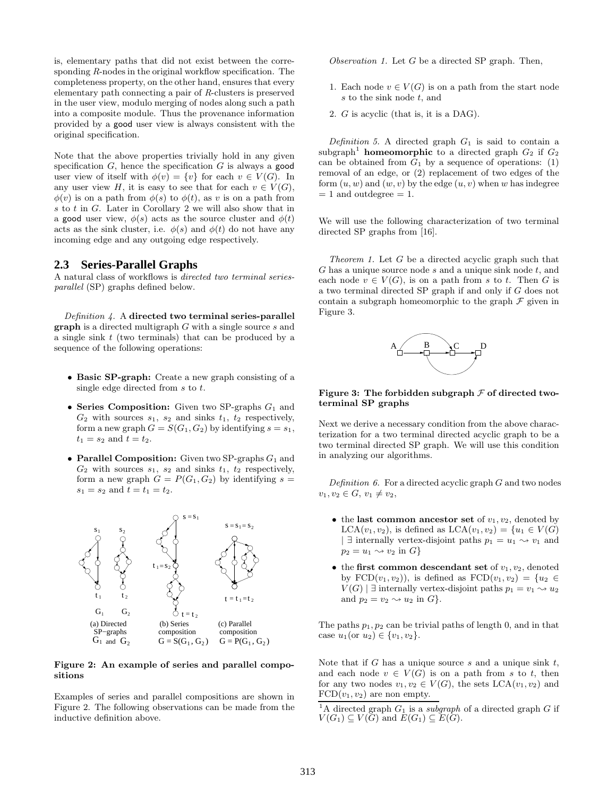is, elementary paths that did not exist between the corresponding *R*-nodes in the original workflow specification. The completeness property, on the other hand, ensures that every elementary path connecting a pair of *R*-clusters is preserved in the user view, modulo merging of nodes along such a path into a composite module. Thus the provenance information provided by a good user view is always consistent with the original specification.

Note that the above properties trivially hold in any given specification  $G$ , hence the specification  $G$  is always a good user view of itself with  $\phi(v) = \{v\}$  for each  $v \in V(G)$ . In any user view H, it is easy to see that for each  $v \in V(G)$ ,  $\phi(v)$  is on a path from  $\phi(s)$  to  $\phi(t)$ , as v is on a path from s to t in G. Later in Corollary 2 we will also show that in a good user view,  $\phi(s)$  acts as the source cluster and  $\phi(t)$ acts as the sink cluster, i.e.  $\phi(s)$  and  $\phi(t)$  do not have any incoming edge and any outgoing edge respectively.

### **2.3 Series-Parallel Graphs**

A natural class of workflows is *directed two terminal seriesparallel* (SP) graphs defined below.

*Definition 4.* A directed two terminal series-parallel  $graph$  is a directed multigraph  $G$  with a single source  $s$  and a single sink  $t$  (two terminals) that can be produced by a sequence of the following operations:

- Basic SP-graph: Create a new graph consisting of a single edge directed from s to t.
- Series Composition: Given two SP-graphs  $G_1$  and  $G_2$  with sources  $s_1$ ,  $s_2$  and sinks  $t_1$ ,  $t_2$  respectively, form a new graph  $G = S(G_1, G_2)$  by identifying  $s = s_1$ ,  $t_1 = s_2$  and  $t = t_2$ .
- Parallel Composition: Given two SP-graphs  $G_1$  and  $G_2$  with sources  $s_1$ ,  $s_2$  and sinks  $t_1$ ,  $t_2$  respectively, form a new graph  $G = P(G_1, G_2)$  by identifying  $s =$  $s_1 = s_2$  and  $t = t_1 = t_2$ .



#### Figure 2: An example of series and parallel compositions

Examples of series and parallel compositions are shown in Figure 2. The following observations can be made from the inductive definition above.

*Observation 1.* Let G be a directed SP graph. Then,

- 1. Each node  $v \in V(G)$  is on a path from the start node s to the sink node t, and
- 2. G is acyclic (that is, it is a DAG).

*Definition 5.* A directed graph  $G_1$  is said to contain a subgraph<sup>1</sup> homeomorphic to a directed graph  $G_2$  if  $G_2$ can be obtained from  $G_1$  by a sequence of operations: (1) removal of an edge, or (2) replacement of two edges of the form  $(u, w)$  and  $(w, v)$  by the edge  $(u, v)$  when w has indegree  $= 1$  and outdegree  $= 1$ .

We will use the following characterization of two terminal directed SP graphs from [16].

*Theorem 1.* Let G be a directed acyclic graph such that  $G$  has a unique source node  $s$  and a unique sink node  $t$ , and each node  $v \in V(G)$ , is on a path from s to t. Then G is a two terminal directed SP graph if and only if G does not contain a subgraph homeomorphic to the graph  $\mathcal F$  given in Figure 3.



#### Figure 3: The forbidden subgraph  $\mathcal F$  of directed twoterminal SP graphs

Next we derive a necessary condition from the above characterization for a two terminal directed acyclic graph to be a two terminal directed SP graph. We will use this condition in analyzing our algorithms.

*Definition 6.* For a directed acyclic graph G and two nodes  $v_1, v_2 \in G, v_1 \neq v_2$ 

- the last common ancestor set of  $v_1, v_2$ , denoted by  $LCA(v_1, v_2)$ , is defined as  $LCA(v_1, v_2) = \{u_1 \in V(G)$ | ∃ internally vertex-disjoint paths  $p_1 = u_1 \sim v_1$  and  $p_2 = u_1 \rightsquigarrow v_2$  in  $G$ }
- the first common descendant set of  $v_1, v_2$ , denoted by  $FCD(v_1, v_2)$ , is defined as  $FCD(v_1, v_2) = \{u_2 \in$  $V(G)$  | ∃ internally vertex-disjoint paths  $p_1 = v_1 \rightsquigarrow u_2$ and  $p_2 = v_2 \rightarrow u_2$  in  $G$ .

The paths  $p_1, p_2$  can be trivial paths of length 0, and in that case  $u_1$  (or  $u_2$ )  $\in \{v_1, v_2\}$ .

Note that if  $G$  has a unique source  $s$  and a unique sink  $t$ , and each node  $v \in V(G)$  is on a path from s to t, then for any two nodes  $v_1, v_2 \in V(G)$ , the sets  $\text{LCA}(v_1, v_2)$  and  $FCD(v_1, v_2)$  are non empty.

<sup>&</sup>lt;sup>1</sup>A directed graph  $G_1$  is a *subgraph* of a directed graph  $G$  if  $V(G_1) \subseteq V(G)$  and  $E(G_1) \subseteq E(G)$ .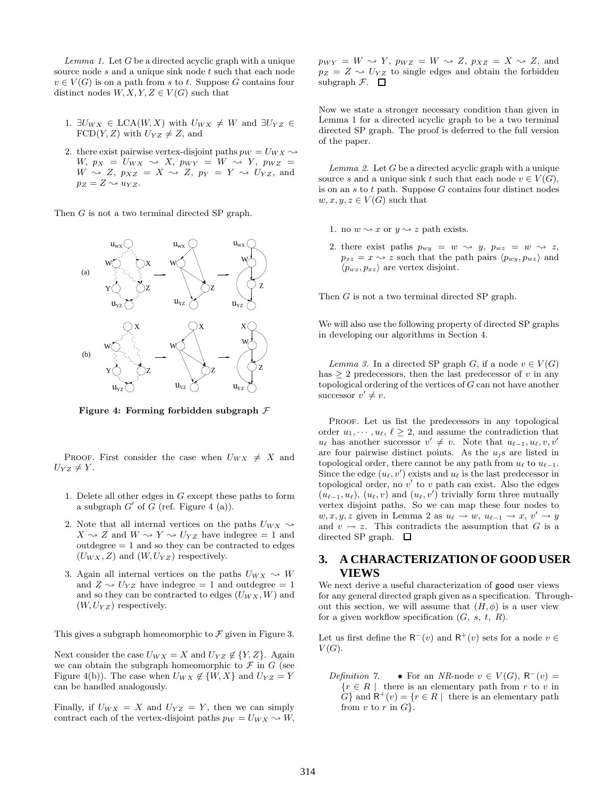*Lemma 1.* Let G be a directed acyclic graph with a unique source node  $s$  and a unique sink node  $t$  such that each node  $v \in V(G)$  is on a path from s to t. Suppose G contains four distinct nodes  $W, X, Y, Z \in V(G)$  such that

- 1.  $\exists U_{WX} \in LCA(W, X)$  with  $U_{WX} \neq W$  and  $\exists U_{YZ} \in$  $FCD(Y, Z)$  with  $U_{YZ} \neq Z$ , and
- 2. there exist pairwise vertex-disjoint paths  $p_W = U_{WX} \sim$  $W, p_X = U_{WX} \rightsquigarrow X, p_{WY} = W \rightsquigarrow Y, p_{WZ} =$  $W \rightsquigarrow Z, p_{XZ} = X \rightsquigarrow Z, p_Y = Y \rightsquigarrow U_{YZ}$ , and  $p_Z = Z \rightarrow u_{YZ}$ .

Then G is not a two terminal directed SP graph.



Figure 4: Forming forbidden subgraph  $\mathcal F$ 

PROOF. First consider the case when  $U_{WX} \neq X$  and  $U_{YZ} \neq Y$ .

- 1. Delete all other edges in G except these paths to form a subgraph  $G'$  of  $\tilde{G}$  (ref. Figure 4 (a)).
- 2. Note that all internal vertices on the paths  $U_{WX} \sim$  $X \sim Z$  and  $W \sim Y \sim U_{YZ}$  have indegree = 1 and  $outdegree = 1$  and so they can be contracted to edges  $(U_{WX}, Z)$  and  $(W, U_{YZ})$  respectively.
- 3. Again all internal vertices on the paths  $U_{WX} \sim W$ and  $Z \sim U_{YZ}$  have indegree = 1 and outdegree = 1 and so they can be contracted to edges  $(U_{WX}, W)$  and  $(W, U_{YZ})$  respectively.

This gives a subgraph homeomorphic to  $\mathcal F$  given in Figure 3.

Next consider the case  $U_{WX} = X$  and  $U_{YZ} \notin \{Y, Z\}$ . Again we can obtain the subgraph homeomorphic to  $\mathcal F$  in  $G$  (see Figure 4(b)). The case when  $U_{WX} \notin \{W, X\}$  and  $U_{YZ} = Y$ can be handled analogously.

Finally, if  $U_{WX} = X$  and  $U_{YZ} = Y$ , then we can simply contract each of the vertex-disjoint paths  $p_W = U_{WX} \rightsquigarrow W$ ,  $p_{WY} = W \rightsquigarrow Y$ ,  $p_{WZ} = W \rightsquigarrow Z$ ,  $p_{XZ} = X \rightsquigarrow Z$ , and  $p_Z = Z \rightarrow U_{YZ}$  to single edges and obtain the forbidden subgraph  $\mathcal{F}$ .  $\Box$ 

Now we state a stronger necessary condition than given in Lemma 1 for a directed acyclic graph to be a two terminal directed SP graph. The proof is deferred to the full version of the paper.

*Lemma 2.* Let G be a directed acyclic graph with a unique source s and a unique sink t such that each node  $v \in V(G)$ , is on an  $s$  to  $t$  path. Suppose  $G$  contains four distinct nodes  $w, x, y, z \in V(G)$  such that

- 1. no  $w \sim x$  or  $y \sim z$  path exists.
- 2. there exist paths  $p_{wy} = w \rightsquigarrow y$ ,  $p_{wz} = w \rightsquigarrow z$ ,  $p_{xz} = x \rightarrow z$  such that the path pairs  $\langle p_{wy}, p_{wz} \rangle$  and  $\langle p_{wz}, p_{xz} \rangle$  are vertex disjoint.

Then G is not a two terminal directed SP graph.

We will also use the following property of directed SP graphs in developing our algorithms in Section 4.

*Lemma 3.* In a directed SP graph G, if a node  $v \in V(G)$ has  $\geq 2$  predecessors, then the last predecessor of v in any topological ordering of the vertices of G can not have another successor  $v' \neq v$ .

PROOF. Let us list the predecessors in any topological order  $u_1, \dots, u_\ell, \ell \geq 2$ , and assume the contradiction that  $u_{\ell}$  has another successor  $v' \neq v$ . Note that  $u_{\ell-1}, u_{\ell}, v, v'$ are four pairwise distinct points. As the  $u_j$ s are listed in topological order, there cannot be any path from  $u_{\ell}$  to  $u_{\ell-1}$ . Since the edge  $(u_{\ell}, v')$  exists and  $u_{\ell}$  is the last predecessor in topological order, no  $v'$  to  $v$  path can exist. Also the edges  $(u_{\ell-1}, u_{\ell}), (u_{\ell}, v)$  and  $(u_{\ell}, v')$  trivially form three mutually vertex disjoint paths. So we can map these four nodes to  $w, x, y, z$  given in Lemma 2 as  $u_{\ell} \to w$ ,  $u_{\ell-1} \to x$ ,  $v' \to y$ and  $v \to z$ . This contradicts the assumption that G is a directed SP graph.  $\Box$ 

# **3. A CHARACTERIZATION OF GOOD USER VIEWS**

We next derive a useful characterization of good user views for any general directed graph given as a specification. Throughout this section, we will assume that  $(H, \phi)$  is a user view for a given workflow specification  $(G, s, t, R)$ .

Let us first define the  $\mathsf{R}^-(v)$  and  $\mathsf{R}^+(v)$  sets for a node  $v \in$  $V(G)$ .

*Definition 7.* • For an *NR*-node  $v \in V(G)$ ,  $R^-(v)$  =  ${r \in R \mid \text{there is an elementary path from } r \text{ to } v \text{ in}}$  $G$ } and  $\mathsf{R}^+(v) = \{r \in R \mid \text{ there is an elementary path }\}$ from v to r in  $G$ .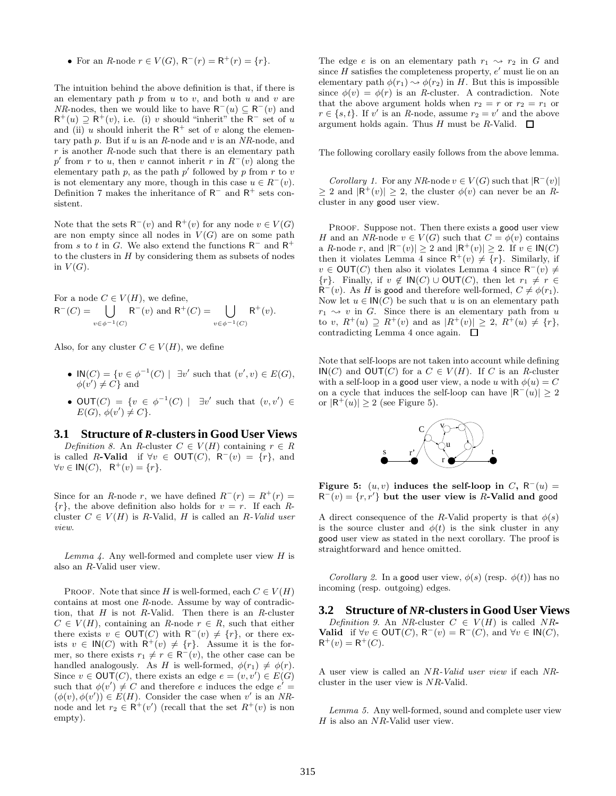• For an *R*-node  $r \in V(G)$ ,  $R^-(r) = R^+(r) = \{r\}$ .

The intuition behind the above definition is that, if there is an elementary path  $p$  from  $u$  to  $v$ , and both  $u$  and  $v$  are *NR*-nodes, then we would like to have  $R^-(u) \subseteq R^-(v)$  and  $R^+(u) \supseteq R^+(v)$ , i.e. (i) v should "inherit" the  $R^-$  set of u and (ii) u should inherit the  $R^+$  set of v along the elementary path p. But if u is an *R*-node and v is an *NR*-node, and r is another *R*-node such that there is an elementary path p' from r to u, then v cannot inherit r in  $R^-(v)$  along the elementary path p, as the path p' followed by p from r to v is not elementary any more, though in this case  $u \in R^-(v)$ . Definition 7 makes the inheritance of  $R^-$  and  $R^+$  sets consistent.

Note that the sets  $\mathsf{R}^-(v)$  and  $\mathsf{R}^+(v)$  for any node  $v \in V(G)$ are non empty since all nodes in  $V(G)$  are on some path from s to t in G. We also extend the functions  $R^-$  and  $R^+$ to the clusters in  $H$  by considering them as subsets of nodes in  $V(G)$ .

For a node  $C \in V(H)$ , we define,  $R^-(C) = \quad \begin{array}{ccc} \end{array}$   $\begin{array}{ccc} \end{array}$   $R^-(v)$  and  $R^+(C) = \quad \begin{array}{ccc} \end{array}$   $\begin{array}{ccc} \end{array}$   $R^+(v)$ .  $v\in\phi^{-1}(C)$  $v\in\phi^{-1}(C)$ 

Also, for any cluster  $C \in V(H)$ , we define

- $\mathsf{IN}(C) = \{v \in \phi^{-1}(C) \mid \exists v' \text{ such that } (v', v) \in E(G),\}$  $\phi(v') \neq C$  and
- OUT(C) =  $\{v \in \phi^{-1}(C) \mid \exists v' \text{ such that } (v, v') \in$  $E(G), \phi(v') \neq C$ .

#### **3.1 Structure of** *R***-clusters in Good User Views**

*Definition 8.* An *R*-cluster  $C \in V(H)$  containing  $r \in R$ is called R-Valid if  $\forall v \in \text{OUT}(C), \ \mathsf{R}^-(v) = \{r\},\$ and  $\forall v \in \mathsf{IN}(C), \quad \mathsf{R}^+(v) = \{r\}.$ 

Since for an *R*-node r, we have defined  $R^-(r) = R^+(r) =$  ${r}$ , the above definition also holds for  $v = r$ . If each Rcluster  $C \in V(H)$  is R-Valid, H is called an R-Valid user *view*.

*Lemma 4.* Any well-formed and complete user view H is also an R-Valid user view.

PROOF. Note that since H is well-formed, each  $C \in V(H)$ contains at most one *R*-node. Assume by way of contradiction, that  $H$  is not  $R$ -Valid. Then there is an  $R$ -cluster  $C \in V(H)$ , containing an *R*-node  $r \in R$ , such that either there exists  $v \in \text{OUT}(C)$  with  $\mathsf{R}^-(v) \neq \{r\}$ , or there exists  $v \in \mathsf{IN}(C)$  with  $\mathsf{R}^+(v) \neq \{r\}$ . Assume it is the former, so there exists  $r_1 \neq r \in \mathsf{R}^-(v)$ , the other case can be handled analogously. As H is well-formed,  $\phi(r_1) \neq \phi(r)$ . Since  $v \in \text{OUT}(C)$ , there exists an edge  $e = (v, v') \in E(G)$ such that  $\phi(v') \neq C$  and therefore e induces the edge  $e' =$  $(\phi(v), \phi(v')) \in E(H)$ . Consider the case when v' is an *NR*node and let  $r_2 \in \mathsf{R}^+(v')$  (recall that the set  $R^+(v)$  is non empty).

The edge e is on an elementary path  $r_1 \rightsquigarrow r_2$  in G and since  $H$  satisfies the completeness property,  $e'$  must lie on an elementary path  $\phi(r_1) \rightsquigarrow \phi(r_2)$  in H. But this is impossible since  $\phi(v) = \phi(r)$  is an *R*-cluster. A contradiction. Note that the above argument holds when  $r_2 = r$  or  $r_2 = r_1$  or  $r \in \{s, t\}$ . If v' is an *R*-node, assume  $r_2 = v'$  and the above argument holds again. Thus H must be R-Valid.  $\square$ 

The following corollary easily follows from the above lemma.

*Corollary 1.* For any *NR*-node  $v \in V(G)$  such that  $|R^-(v)|$  $\geq 2$  and  $|\mathsf{R}^{+}(v)| \geq 2$ , the cluster  $\phi(v)$  can never be an *R*cluster in any good user view.

PROOF. Suppose not. Then there exists a good user view H and an *NR*-node  $v \in V(G)$  such that  $C = \phi(v)$  contains a *R*-node r, and  $|\mathsf{R}^{-}(v)| \geq 2$  and  $|\mathsf{R}^{+}(v)| \geq 2$ . If  $v \in \mathsf{IN}(C)$ then it violates Lemma 4 since  $R^+(v) \neq \{r\}$ . Similarly, if  $v \in \text{OUT}(C)$  then also it violates Lemma 4 since  $R^-(v) \neq$  ${r}$ . Finally, if  $v \notin IN(C) \cup OUT(C)$ , then let  $r_1 \neq r \in$  $\mathsf{R}^-(v)$ . As H is good and therefore well-formed,  $C \neq \phi(r_1)$ . Now let  $u \in \mathsf{IN}(\overline{C})$  be such that u is on an elementary path  $r_1 \rightsquigarrow v$  in G. Since there is an elementary path from u to v,  $R^+(u) \supseteq R^+(v)$  and as  $|R^+(v)| \geq 2$ ,  $R^+(u) \neq \{r\},\$ contradicting Lemma 4 once again.  $\Box$ 

Note that self-loops are not taken into account while defining IN(C) and OUT(C) for a  $C \in V(H)$ . If C is an *R*-cluster with a self-loop in a good user view, a node u with  $\phi(u) = C$ on a cycle that induces the self-loop can have  $|R^-(u)| \geq 2$ or  $|R^+(u)| \geq 2$  (see Figure 5).



Figure 5:  $(u, v)$  induces the self-loop in C, R<sup>-</sup> $(u)$  =  $R^-(v) = \{r, r'\}$  but the user view is R-Valid and good

A direct consequence of the R-Valid property is that  $\phi(s)$ is the source cluster and  $\phi(t)$  is the sink cluster in any good user view as stated in the next corollary. The proof is straightforward and hence omitted.

*Corollary 2.* In a good user view,  $\phi(s)$  (resp.  $\phi(t)$ ) has no incoming (resp. outgoing) edges.

**3.2 Structure of** *NR***-clusters in Good User Views** *Definition 9.* An *NR*-cluster  $C \in V(H)$  is called *NR*-**Valid** if  $\forall v \in \text{OUT}(C), R^-(v) = R^-(C)$ , and  $\forall v \in \text{IN}(C)$ ,  $R^+(v) = R^+(C).$ 

A user view is called an NR*-Valid user view* if each *NR*cluster in the user view is NR-Valid.

*Lemma 5.* Any well-formed, sound and complete user view  $H$  is also an  $NR$ -Valid user view.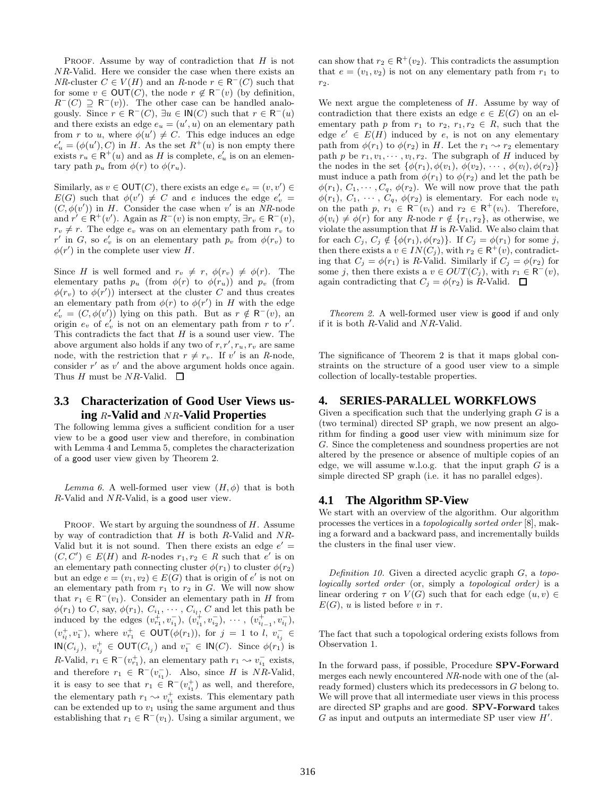PROOF. Assume by way of contradiction that  $H$  is not NR-Valid. Here we consider the case when there exists an *NR*-cluster  $C \in V(H)$  and an *R*-node  $r \in \mathsf{R}^{-1}(C)$  such that for some  $v \in \text{OUT}(C)$ , the node  $r \notin \text{R}^-(v)$  (by definition,  $R^-(C) \supseteq R^-(v)$ . The other case can be handled analogously. Since  $r \in \mathsf{R}^-(C)$ ,  $\exists u \in \mathsf{IN}(C)$  such that  $r \in \mathsf{R}^-(u)$ and there exists an edge  $e_u = (u', u)$  on an elementary path from r to u, where  $\phi(u') \neq C$ . This edge induces an edge  $e'_{u} = (\phi(u'), C)$  in H. As the set  $R^{+}(u)$  is non empty there exists  $r_u \in \mathsf{R}^+(u)$  and as H is complete,  $e'_u$  is on an elementary path  $p_u$  from  $\phi(r)$  to  $\phi(r_u)$ .

Similarly, as  $v \in \text{OUT}(C)$ , there exists an edge  $e_v = (v, v') \in$  $E(G)$  such that  $\phi(v') \neq C$  and e induces the edge  $e'_v$  =  $(C, \phi(v'))$  in H. Consider the case when v' is an *NR*-node and  $r' \in \mathsf{R}^+(v')$ . Again as  $R^-(v)$  is non empty,  $\exists r_v \in \mathsf{R}^-(v)$ ,  $r_v \neq r$ . The edge  $e_v$  was on an elementary path from  $r_v$  to r' in G, so  $e'_v$  is on an elementary path  $p_v$  from  $\phi(r_v)$  to  $\phi(r')$  in the complete user view H.

Since H is well formed and  $r_v \neq r$ ,  $\phi(r_v) \neq \phi(r)$ . The elementary paths  $p_u$  (from  $\phi(r)$  to  $\phi(r_u)$ ) and  $p_v$  (from  $\phi(r_v)$  to  $\phi(r')$ ) intersect at the cluster C and thus creates an elementary path from  $\phi(r)$  to  $\phi(r')$  in H with the edge  $e'_v = (C, \phi(v'))$  lying on this path. But as  $r \notin \mathsf{R}^-(v)$ , an origin  $e_v$  of  $e'_v$  is not on an elementary path from r to r'. This contradicts the fact that  $H$  is a sound user view. The above argument also holds if any two of  $r, r', r_u, r_v$  are same node, with the restriction that  $r \neq r_v$ . If v' is an *R*-node, consider  $r'$  as  $v'$  and the above argument holds once again. Thus H must be NR-Valid.  $\Box$ 

# **3.3 Characterization of Good User Views using** R**-Valid and** NR**-Valid Properties**

The following lemma gives a sufficient condition for a user view to be a good user view and therefore, in combination with Lemma 4 and Lemma 5, completes the characterization of a good user view given by Theorem 2.

*Lemma 6.* A well-formed user view  $(H, \phi)$  that is both  $R$ -Valid and  $NR$ -Valid, is a good user view.

PROOF. We start by arguing the soundness of  $H$ . Assume by way of contradiction that  $H$  is both R-Valid and  $NR$ -Valid but it is not sound. Then there exists an edge  $e' =$  $(C, C') \in E(H)$  and *R*-nodes  $r_1, r_2 \in R$  such that e' is on an elementary path connecting cluster  $\phi(r_1)$  to cluster  $\phi(r_2)$ but an edge  $e = (v_1, v_2) \in E(G)$  that is origin of  $e'$  is not on an elementary path from  $r_1$  to  $r_2$  in  $G$ . We will now show that  $r_1 \in \mathsf{R}^-(v_1)$ . Consider an elementary path in H from  $\phi(r_1)$  to C, say,  $\phi(r_1)$ ,  $C_{i_1}, \cdots, C_{i_l}, C$  and let this path be induced by the edges  $(v_{r_1}^+, v_{i_1}^-)$ ,  $(v_{i_1}^+, v_{i_2}^-)$ ,  $\cdots$ ,  $(v_{i_{l-1}}^+, v_{i_l}^-)$ ,  $(v_{i_l}^+, v_1^-)$ , where  $v_{r_1}^+ \in \text{OUT}(\phi(r_1))$ , for  $j = 1$  to  $l, v_{i_j}^- \in$  $\mathsf{IN}(C_{i_j}), v^+_{i_j} \in \mathsf{OUT}(C_{i_j}) \text{ and } v^-_1 \in \mathsf{IN}(C). \text{ Since } \phi(r_1) \text{ is }$ R-Valid,  $r_1 \in \mathsf{R}^-(v_{r_1}^+)$ , an elementary path  $r_1 \leadsto v_{i_1}^-$  exists, and therefore  $r_1 \in \mathsf{R}^-(v_{i_1}^-)$ . Also, since H is NR-Valid, it is easy to see that  $r_1 \in \mathsf{R}^-(v_{i_1}^+)$  as well, and therefore, the elementary path  $r_1 \leadsto v_{i_1}^+$  exists. This elementary path can be extended up to  $v_1$  using the same argument and thus establishing that  $r_1 \in \mathsf{R}^-(v_1)$ . Using a similar argument, we

can show that  $r_2 \in \mathsf{R}^+(v_2)$ . This contradicts the assumption that  $e = (v_1, v_2)$  is not on any elementary path from  $r_1$  to  $r<sub>2</sub>$ .

We next argue the completeness of  $H$ . Assume by way of contradiction that there exists an edge  $e \in E(G)$  on an elementary path p from  $r_1$  to  $r_2$ ,  $r_1, r_2 \in R$ , such that the edge  $e' \in E(H)$  induced by e, is not on any elementary path from  $\phi(r_1)$  to  $\phi(r_2)$  in H. Let the  $r_1 \sim r_2$  elementary path p be  $r_1, v_1, \dots, v_l, r_2$ . The subgraph of H induced by the nodes in the set  $\{\phi(r_1), \phi(v_1), \phi(v_2), \cdots, \phi(v_l), \phi(r_2)\}\$ must induce a path from  $\phi(r_1)$  to  $\phi(r_2)$  and let the path be  $\phi(r_1), C_1, \cdots, C_q, \phi(r_2)$ . We will now prove that the path  $\phi(r_1), C_1, \cdots, C_q, \phi(r_2)$  is elementary. For each node  $v_i$ on the path  $p, r_1 \in \mathsf{R}^-(v_i)$  and  $r_2 \in \mathsf{R}^+(v_i)$ . Therefore,  $\phi(v_i) \neq \phi(r)$  for any *R*-node  $r \notin \{r_1, r_2\}$ , as otherwise, we violate the assumption that  $H$  is  $R$ -Valid. We also claim that for each  $C_i$ ,  $C_i \notin {\phi(r_1), \phi(r_2)}$ . If  $C_i = \phi(r_1)$  for some j, then there exists a  $v \in IN(C_j)$ , with  $r_2 \in \mathsf{R}^+(v)$ , contradicting that  $C_j = \phi(r_1)$  is R-Valid. Similarly if  $C_j = \phi(r_2)$  for some j, then there exists a  $v \in OUT(C_j)$ , with  $r_1 \in \mathsf{R}^-(v)$ , again contradicting that  $C_j = \phi(r_2)$  is R-Valid.  $\Box$ 

*Theorem 2.* A well-formed user view is good if and only if it is both R-Valid and NR-Valid.

The significance of Theorem 2 is that it maps global constraints on the structure of a good user view to a simple collection of locally-testable properties.

# **4. SERIES-PARALLEL WORKFLOWS**

Given a specification such that the underlying graph  $G$  is a (two terminal) directed SP graph, we now present an algorithm for finding a good user view with minimum size for G. Since the completeness and soundness properties are not altered by the presence or absence of multiple copies of an edge, we will assume w.l.o.g. that the input graph  $G$  is a simple directed SP graph (i.e. it has no parallel edges).

#### **4.1 The Algorithm SP-View**

We start with an overview of the algorithm. Our algorithm processes the vertices in a *topologically sorted order* [8], making a forward and a backward pass, and incrementally builds the clusters in the final user view.

*Definition 10.* Given a directed acyclic graph G, a *topologically sorted order* (or, simply a *topological order)* is a linear ordering  $\tau$  on  $V(G)$  such that for each edge  $(u, v) \in$  $E(G)$ , u is listed before v in  $\tau$ .

The fact that such a topological ordering exists follows from Observation 1.

In the forward pass, if possible, Procedure SPV-Forward merges each newly encountered *NR*-node with one of the (already formed) clusters which its predecessors in G belong to. We will prove that all intermediate user views in this process are directed SP graphs and are good. SPV-Forward takes  $G$  as input and outputs an intermediate SP user view  $H'$ .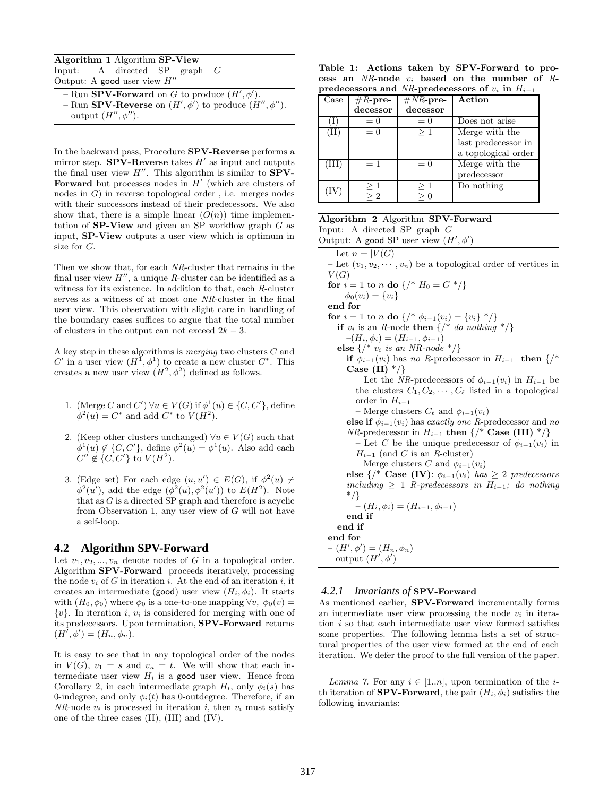Algorithm 1 Algorithm SP-View Input: A directed SP graph G Output: A good user view  $H''$ 

- Run **SPV-Forward** on G to produce  $(H', \phi')$ . - Run **SPV-Reverse** on  $(H', \phi')$  to produce  $(H'', \phi'')$ .

 $-$  output  $(H'', \phi'')$ .

In the backward pass, Procedure SPV-Reverse performs a mirror step. **SPV-Reverse** takes  $H'$  as input and outputs the final user view  $H''$ . This algorithm is similar to  $SPV$ -Forward but processes nodes in  $H'$  (which are clusters of nodes in  $G$ ) in reverse topological order, i.e. merges nodes with their successors instead of their predecessors. We also show that, there is a simple linear  $(O(n))$  time implementation of  $SP-View$  and given an SP workflow graph  $G$  as input, SP-View outputs a user view which is optimum in size for G.

Then we show that, for each *NR*-cluster that remains in the final user view  $H''$ , a unique R-cluster can be identified as a witness for its existence. In addition to that, each *R*-cluster serves as a witness of at most one *NR*-cluster in the final user view. This observation with slight care in handling of the boundary cases suffices to argue that the total number of clusters in the output can not exceed  $2k - 3$ .

A key step in these algorithms is *merging* two clusters C and  $C'$  in a user view  $(H^{\mathcal{I}}, \phi^{\mathcal{I}})$  to create a new cluster  $C^*$ . This creates a new user view  $(H^2, \phi^2)$  defined as follows.

- 1. (Merge C and C')  $\forall u \in V(G)$  if  $\phi^1(u) \in \{C, C'\}$ , define  $\phi^2(u) = C^*$  and add  $C^*$  to  $V(H^2)$ .
- 2. (Keep other clusters unchanged)  $\forall u \in V(G)$  such that  $\phi^1(u) \notin \{C, C'\},\$ define  $\phi^2(u) = \phi^1(u)$ . Also add each  $C'' \notin \{C, C'\}$  to  $V(H^2)$ .
- 3. (Edge set) For each edge  $(u, u') \in E(G)$ , if  $\phi^2(u) \neq$  $\phi^2(u')$ , add the edge  $(\phi^2(u), \phi^2(u'))$  to  $E(H^2)$ . Note that as  $G$  is a directed SP graph and therefore is acyclic from Observation 1, any user view of G will not have a self-loop.

#### **4.2 Algorithm SPV-Forward**

Let  $v_1, v_2, ..., v_n$  denote nodes of G in a topological order. Algorithm SPV-Forward proceeds iteratively, processing the node  $v_i$  of G in iteration i. At the end of an iteration i, it creates an intermediate (good) user view  $(H_i, \phi_i)$ . It starts with  $(H_0, \phi_0)$  where  $\phi_0$  is a one-to-one mapping  $\forall v, \phi_0(v) =$  $\{v\}$ . In iteration *i*,  $v_i$  is considered for merging with one of its predecessors. Upon termination, SPV-Forward returns  $(H^{\hat{I}}, \phi') = (H_n, \phi_n).$ 

It is easy to see that in any topological order of the nodes in  $V(G)$ ,  $v_1 = s$  and  $v_n = t$ . We will show that each intermediate user view  $H_i$  is a good user view. Hence from Corollary 2, in each intermediate graph  $H_i$ , only  $\phi_i(s)$  has 0-indegree, and only  $\phi_i(t)$  has 0-outdegree. Therefore, if an *NR*-node  $v_i$  is processed in iteration i, then  $v_i$  must satisfy one of the three cases (II), (III) and (IV).

Table 1: Actions taken by SPV-Forward to process an *NR*-node v<sup>i</sup> based on the number of *R*predecessors and *NR*-predecessors of  $v_i$  in  $H_{i-1}$ 

| Case | # $R$ -pre- | $#NR$ -pre- | Action              |
|------|-------------|-------------|---------------------|
|      | decessor    | decessor    |                     |
|      | $=0$        | $= 0$       | Does not arise      |
| (II) | $= 0$       | $\geq 1$    | Merge with the      |
|      |             |             | last predecessor in |
|      |             |             | a topological order |
| Ш    | $=1$        | $= 0$       | Merge with the      |
|      |             |             | predecessor         |
|      |             | $\geq 1$    | Do nothing          |
|      | > 2         |             |                     |

Algorithm 2 Algorithm SPV-Forward Input: A directed SP graph G Output: A good SP user view  $(H', \phi')$ – Let  $n = |V(G)|$ – Let  $(v_1, v_2, \dots, v_n)$  be a topological order of vertices in  $V(G)$ for  $i = 1$  to n do  $\{ / * H_0 = G * / \}$  $-\phi_0(v_i) = \{v_i\}$ end for for  $i = 1$  to n do  $\{ / * \phi_{i-1}(v_i) = \{v_i\} * / \}$ if  $v_i$  is an *R*-node then  $\{A^* \text{ do nothing } *A\}$  $-(H_i, \phi_i) = (H_{i-1}, \phi_{i-1})$ else {/\* v<sup>i</sup> *is an NR-node* \*/} if  $\phi_{i-1}(v_i)$  has *no R*-predecessor in  $H_{i-1}$  then  $\frac{1}{k}$ Case (II)  $*/$ } – Let the *NR*-predecessors of  $\phi_{i-1}(v_i)$  in  $H_{i-1}$  be the clusters  $C_1, C_2, \cdots, C_\ell$  listed in a topological order in  $H_{i-1}$ – Merge clusters  $C_{\ell}$  and  $\phi_{i-1}(v_i)$ else if  $\phi_{i-1}(v_i)$  has *exactly one R*-predecessor and *no NR*-predecessor in  $H_{i-1}$  then  $\{$  /\* Case (III)  $^*/$ } – Let C be the unique predecessor of  $\phi_{i-1}(v_i)$  in  $H_{i-1}$  (and C is an R-cluster) – Merge clusters C and  $\phi_{i-1}(v_i)$ else  $\{/*$  Case (IV):  $\phi_{i-1}(v_i)$  has  $\geq 2$  predecessors  $including \geq 1$  *R-predecessors in*  $H_{i-1}$ *; do nothing* \*/}  $(H_i, \phi_i) = (H_{i-1}, \phi_{i-1})$ end if end if end for  $-(H', \phi') = (H_n, \phi_n)$  $-$  output  $(H', \phi')$ *4.2.1 Invariants of* SPV-Forward

As mentioned earlier, SPV-Forward incrementally forms an intermediate user view processing the node  $v_i$  in iteration  $i$  so that each intermediate user view formed satisfies some properties. The following lemma lists a set of structural properties of the user view formed at the end of each iteration. We defer the proof to the full version of the paper.

*Lemma 7.* For any  $i \in [1..n]$ , upon termination of the *i*th iteration of **SPV-Forward**, the pair  $(H_i, \phi_i)$  satisfies the following invariants: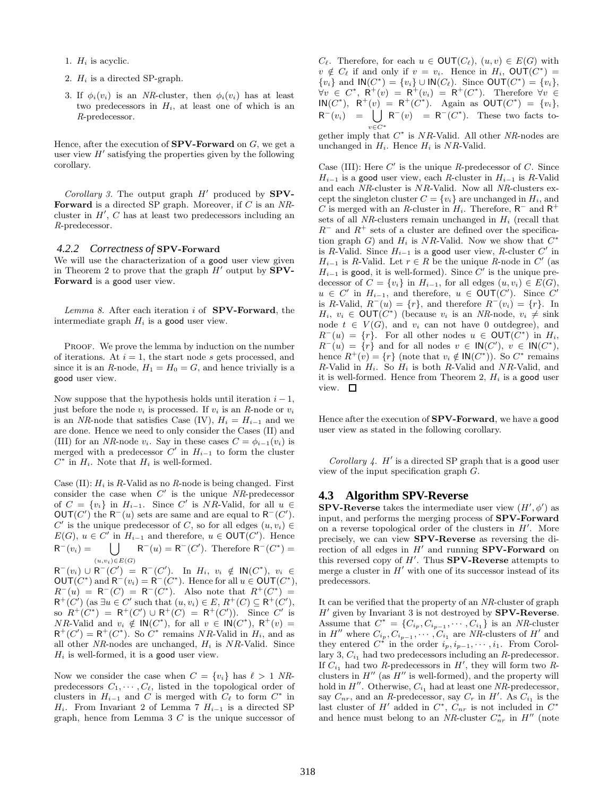- 1.  $H_i$  is acyclic.
- 2.  $H_i$  is a directed SP-graph.
- 3. If  $\phi_i(v_i)$  is an *NR*-cluster, then  $\phi_i(v_i)$  has at least two predecessors in  $H_i$ , at least one of which is an *R*-predecessor.

Hence, after the execution of  $SPV-Forward$  on G, we get a user view  $H'$  satisfying the properties given by the following corollary.

*Corollary 3.* The output graph  $H'$  produced by **SPV**-Forward is a directed SP graph. Moreover, if C is an *NR*cluster in  $H'$ ,  $C$  has at least two predecessors including an *R*-predecessor.

#### *4.2.2 Correctness of* SPV-Forward

We will use the characterization of a good user view given in Theorem 2 to prove that the graph  $H'$  output by  $SPV$ -Forward is a good user view.

*Lemma 8.* After each iteration i of SPV-Forward, the intermediate graph  $H_i$  is a good user view.

PROOF. We prove the lemma by induction on the number of iterations. At  $i = 1$ , the start node s gets processed, and since it is an *R*-node,  $H_1 = H_0 = G$ , and hence trivially is a good user view.

Now suppose that the hypothesis holds until iteration  $i - 1$ , just before the node  $v_i$  is processed. If  $v_i$  is an  $R$ -node or  $v_i$ is an *NR*-node that satisfies Case (IV),  $H_i = H_{i-1}$  and we are done. Hence we need to only consider the Cases (II) and (III) for an *NR*-node  $v_i$ . Say in these cases  $C = \phi_{i-1}(v_i)$  is merged with a predecessor  $C'$  in  $H_{i-1}$  to form the cluster  $C^*$  in  $H_i$ . Note that  $H_i$  is well-formed.

Case  $(II)$ :  $H_i$  is R-Valid as no R-node is being changed. First consider the case when C ′ is the unique *NR*-predecessor of  $C = \{v_i\}$  in  $H_{i-1}$ . Since C' is NR-Valid, for all  $u \in$  $\mathsf{OUT}(C')$  the  $\mathsf{R}^-(u)$  sets are same and are equal to  $\mathsf{R}^-(C')$ . C' is the unique predecessor of C, so for all edges  $(u, v_i) \in$  $E(G)$ ,  $u \in C'$  in  $H_{i-1}$  and therefore,  $u \in \text{OUT}(C')$ . Hence R <sup>−</sup>(vi) = [  $(u,v_i) \in E(G)$  $R^-(u) = R^-(C')$ . Therefore  $R^-(C^*) =$ 

 $R^-(v_i) \cup R^-(C') = R^-(C')$ . In  $H_i, v_i \notin IN(C^*)$ ,  $v_i \in$  $\mathsf{OUT}(C^*)$  and  $\mathsf{R}^-(v_i) = \mathsf{R}^-(C^*)$ . Hence for all  $u \in \mathsf{OUT}(C^*)$ ,  $R^{-}(u) = R^{-}(C) = R^{-}(C^{*})$ . Also note that  $R^{+}(C^{*}) =$  $\mathsf{R}^+(C')$  (as  $\exists u \in C'$  such that  $(u, v_i) \in E$ ,  $\mathsf{R}^+(C) \subseteq \mathsf{R}^+(C')$ , so  $R^+(C^*) = R^+(C') \cup R^+(C) = R^+(C')$ ). Since  $C'$  is NR-Valid and  $v_i \notin \mathsf{IN}(C^*)$ , for all  $v \in \mathsf{IN}(C^*)$ ,  $\mathsf{R}^+(v) =$  $R^+(C') = R^+(C^*)$ . So  $C^*$  remains NR-Valid in  $H_i$ , and as all other *NR*-nodes are unchanged,  $H_i$  is *NR*-Valid. Since  $H_i$  is well-formed, it is a good user view.

Now we consider the case when  $C = \{v_i\}$  has  $\ell > 1$  NRpredecessors  $C_1, \cdots, C_{\ell}$ , listed in the topological order of clusters in  $H_{i-1}$  and C is merged with  $C_{\ell}$  to form  $C^*$  in H<sub>i</sub>. From Invariant 2 of Lemma 7  $H_{i-1}$  is a directed SP graph, hence from Lemma  $3\,C$  is the unique successor of  $C_{\ell}$ . Therefore, for each  $u \in \text{OUT}(C_{\ell}), (u, v) \in E(G)$  with  $v \notin C_{\ell}$  if and only if  $v = v_i$ . Hence in  $H_i$ ,  $\mathsf{OUT}(C^*)$  =  ${v_i}$  and  $\mathsf{IN}(C^*) = {v_i} \cup \mathsf{IN}(C_\ell)$ . Since  $\mathsf{OUT}(C^*) = {v_i}$ ,  $\forall v \in C^*, \ \mathsf{R}^+(v) = \mathsf{R}^+(v_i) = \mathsf{R}^+(C^*).$  Therefore  $\forall v \in C$  $\mathsf{IN}(C^*)$ ,  $\mathsf{R}^+(v) = \mathsf{R}^+(C^*)$ . Again as  $\mathsf{OUT}(C^*) = \{v_i\},$  $R^-(v_i) = \bigcup R^-(v) = R^-(C^*)$ . These two facts tov∈C<sup>∗</sup>

gether imply that  $C^*$  is  $NR$ -Valid. All other  $NR$ -nodes are unchanged in  $H_i$ . Hence  $H_i$  is NR-Valid.

Case (III): Here  $C'$  is the unique  $R$ -predecessor of  $C$ . Since  $H_{i-1}$  is a good user view, each *R*-cluster in  $H_{i-1}$  is *R*-Valid and each *NR*-cluster is NR-Valid. Now all *NR*-clusters except the singleton cluster  $C = \{v_i\}$  are unchanged in  $H_i$ , and C is merged with an R-cluster in  $H_i$ . Therefore,  $R^-$  and  $R^+$ sets of all *NR*-clusters remain unchanged in  $H_i$  (recall that  $R^-$  and  $R^+$  sets of a cluster are defined over the specification graph G) and  $H_i$  is NR-Valid. Now we show that  $C^*$ is R-Valid. Since  $H_{i-1}$  is a good user view, R-cluster  $C'$  in  $H_{i-1}$  is R-Valid. Let  $r \in R$  be the unique  $R$ -node in  $C'$  (as  $H_{i-1}$  is good, it is well-formed). Since  $C'$  is the unique predecessor of  $C = \{v_i\}$  in  $H_{i-1}$ , for all edges  $(u, v_i) \in E(G)$ ,  $u \in C'$  in  $H_{i-1}$ , and therefore,  $u \in \text{OUT}(C')$ . Since  $C'$ is R-Valid,  $R^-(u) = \{r\}$ , and therefore  $R^-(v_i) = \{r\}$ . In  $H_i, v_i \in \text{OUT}(C^*)$  (because  $v_i$  is an *NR*-node,  $v_i \neq \text{sink}$ node  $t \in V(G)$ , and  $v_i$  can not have 0 outdegree), and  $R^-(u) = \{r\}.$  For all other nodes  $u \in \text{OUT}(\check{C}^*)$  in  $H_i$ ,  $R^-(u) = \{r\}$  and for all nodes  $v \in IN(C')$ ,  $v \in IN(C^*)$ , hence  $R^+(v) = \{r\}$  (note that  $v_i \notin \mathsf{IN}(C^*)$ ). So  $C^*$  remains R-Valid in  $H_i$ . So  $H_i$  is both R-Valid and NR-Valid, and it is well-formed. Hence from Theorem 2,  $H_i$  is a good user view.  $\square$ 

Hence after the execution of SPV-Forward, we have a good user view as stated in the following corollary.

*Corollary 4.*  $H'$  is a directed SP graph that is a good user view of the input specification graph G.

### **4.3 Algorithm SPV-Reverse**

**SPV-Reverse** takes the intermediate user view  $(H', \phi')$  as input, and performs the merging process of SPV-Forward on a reverse topological order of the clusters in  $H'$ . More precisely, we can view SPV-Reverse as reversing the direction of all edges in  $H'$  and running **SPV-Forward** on this reversed copy of  $H'$ . Thus **SPV-Reverse** attempts to merge a cluster in  $H'$  with one of its successor instead of its predecessors.

It can be verified that the property of an *NR*-cluster of graph H' given by Invariant 3 is not destroyed by SPV-Reverse. Assume that  $C^* = \{C_{i_p}, C_{i_{p-1}}, \cdots, C_{i_1}\}$  is an *NR*-cluster in  $H''$  where  $C_{i_p}, C_{i_{p-1}}, \cdots, C_{i_1}$  are *NR*-clusters of  $H'$  and they entered  $C^*$  in the order  $i_p, i_{p-1}, \cdots, i_1$ . From Corollary 3,  $C_{i_1}$  had two predecessors including an *R*-predecessor. If  $C_{i_1}$  had two *R*-predecessors in  $H'$ , they will form two *R*clusters in  $H''$  (as  $H''$  is well-formed), and the property will hold in  $H''$ . Otherwise,  $C_{i_1}$  had at least one  $NR$ -predecessor, say  $C_{nr}$ , and an *R*-predecessor, say  $C_r$  in *H'*. As  $C_{i_1}$  is the last cluster of  $H'$  added in  $C^*$ ,  $C_{nr}$  is not included in  $C^*$ and hence must belong to an  $NR$ -cluster  $C_{nr}^*$  in  $H''$  (note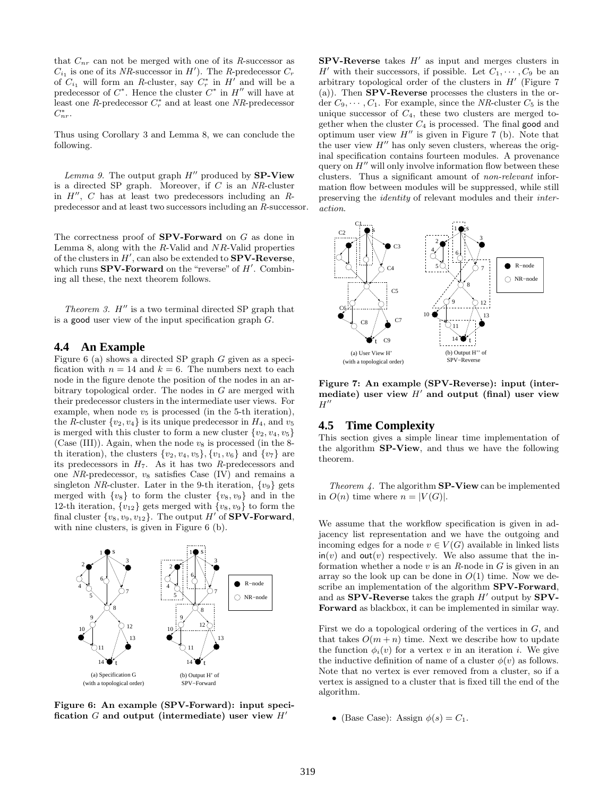that  $C_{nr}$  can not be merged with one of its  $R$ -successor as  $C_{i_1}$  is one of its *NR*-successor in *H'*). The *R*-predecessor  $C_r$ of  $C_{i_1}$  will form an *R*-cluster, say  $C_r^*$  in  $H'$  and will be a predecessor of  $C^*$ . Hence the cluster  $C^*$  in  $H''$  will have at least one *R*-predecessor  $C_r^*$  and at least one *NR*-predecessor  $C_{nr}^*$ .

Thus using Corollary 3 and Lemma 8, we can conclude the following.

*Lemma 9.* The output graph  $H''$  produced by **SP-View** is a directed SP graph. Moreover, if C is an *NR*-cluster in H ′′ , C has at least two predecessors including an *R*predecessor and at least two successors including an *R*-successor.

The correctness proof of  $SPV-Forward$  on  $G$  as done in Lemma 8, along with the  $R$ -Valid and  $NR$ -Valid properties of the clusters in  $H'$ , can also be extended to  $SPV$ -Reverse, which runs  $SPV$ -Forward on the "reverse" of  $H'$ . Combining all these, the next theorem follows.

*Theorem 3.*  $H''$  is a two terminal directed SP graph that is a good user view of the input specification graph  $G$ .

#### **4.4 An Example**

Figure 6 (a) shows a directed SP graph G given as a specification with  $n = 14$  and  $k = 6$ . The numbers next to each node in the figure denote the position of the nodes in an arbitrary topological order. The nodes in G are merged with their predecessor clusters in the intermediate user views. For example, when node  $v_5$  is processed (in the 5-th iteration), the *R*-cluster  $\{v_2, v_4\}$  is its unique predecessor in  $H_4$ , and  $v_5$ is merged with this cluster to form a new cluster  $\{v_2, v_4, v_5\}$ (Case (III)). Again, when the node  $v_8$  is processed (in the 8th iteration), the clusters  $\{v_2, v_4, v_5\}$ ,  $\{v_1, v_6\}$  and  $\{v_7\}$  are its predecessors in  $H_7$ . As it has two *R*-predecessors and one  $NR$ -predecessor,  $v_8$  satisfies Case (IV) and remains a singleton *NR*-cluster. Later in the 9-th iteration,  $\{v_9\}$  gets merged with  $\{v_8\}$  to form the cluster  $\{v_8, v_9\}$  and in the 12-th iteration,  $\{v_{12}\}$  gets merged with  $\{v_8, v_9\}$  to form the final cluster  $\{v_8, v_9, v_{12}\}$ . The output H' of **SPV-Forward**, with nine clusters, is given in Figure 6 (b).



Figure 6: An example (SPV-Forward): input specification G and output (intermediate) user view  $H'$ 

 $SPV$ -Reverse takes  $H'$  as input and merges clusters in H' with their successors, if possible. Let  $C_1, \cdots, C_9$  be an arbitrary topological order of the clusters in  $H'$  (Figure 7 (a)). Then SPV-Reverse processes the clusters in the order  $C_9, \cdots, C_1$ . For example, since the *NR*-cluster  $C_5$  is the unique successor of  $C_4$ , these two clusters are merged together when the cluster  $C_4$  is processed. The final good and optimum user view  $H''$  is given in Figure 7 (b). Note that the user view  $H''$  has only seven clusters, whereas the original specification contains fourteen modules. A provenance query on  $H''$  will only involve information flow between these clusters. Thus a significant amount of *non-relevant* information flow between modules will be suppressed, while still preserving the *identity* of relevant modules and their *interaction*.



Figure 7: An example (SPV-Reverse): input (intermediate) user view  $H'$  and output (final) user view  $H''$ 

# **4.5 Time Complexity**

This section gives a simple linear time implementation of the algorithm SP-View, and thus we have the following theorem.

*Theorem 4.* The algorithm SP-View can be implemented in  $O(n)$  time where  $n = |V(G)|$ .

We assume that the workflow specification is given in adjacency list representation and we have the outgoing and incoming edges for a node  $v \in V(G)$  available in linked lists  $\mathsf{in}(v)$  and  $\mathsf{out}(v)$  respectively. We also assume that the information whether a node v is an *R*-node in G is given in an array so the look up can be done in  $O(1)$  time. Now we describe an implementation of the algorithm SPV-Forward, and as SPV-Reverse takes the graph  $H'$  output by SPV-Forward as blackbox, it can be implemented in similar way.

First we do a topological ordering of the vertices in G, and that takes  $O(m + n)$  time. Next we describe how to update the function  $\phi_i(v)$  for a vertex v in an iteration i. We give the inductive definition of name of a cluster  $\phi(v)$  as follows. Note that no vertex is ever removed from a cluster, so if a vertex is assigned to a cluster that is fixed till the end of the algorithm.

• (Base Case): Assign  $\phi(s) = C_1$ .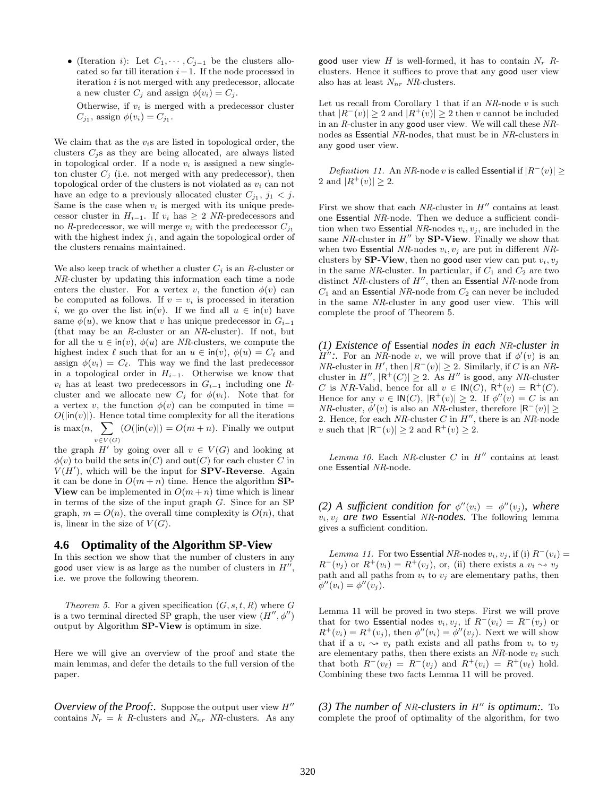• (Iteration *i*): Let  $C_1, \cdots, C_{j-1}$  be the clusters allocated so far till iteration  $i-1$ . If the node processed in iteration  $i$  is not merged with any predecessor, allocate a new cluster  $C_j$  and assign  $\phi(v_i) = C_j$ .

Otherwise, if  $v_i$  is merged with a predecessor cluster  $C_{j_1}$ , assign  $\phi(v_i) = C_{j_1}$ .

We claim that as the  $v_i$ s are listed in topological order, the clusters  $C_j$ s as they are being allocated, are always listed in topological order. If a node  $v_i$  is assigned a new singleton cluster  $C_j$  (i.e. not merged with any predecessor), then topological order of the clusters is not violated as  $v_i$  can not have an edge to a previously allocated cluster  $C_{j_1}, j_1 < j$ . Same is the case when  $v_i$  is merged with its unique predecessor cluster in  $H_{i-1}$ . If  $v_i$  has  $\geq 2$  *NR*-predecessors and no *R*-predecessor, we will merge  $v_i$  with the predecessor  $C_{j_1}$ with the highest index  $j_1$ , and again the topological order of the clusters remains maintained.

We also keep track of whether a cluster  $C_i$  is an *R*-cluster or *NR*-cluster by updating this information each time a node enters the cluster. For a vertex v, the function  $\phi(v)$  can be computed as follows. If  $v = v_i$  is processed in iteration i, we go over the list in(v). If we find all  $u \in \text{in}(v)$  have same  $\phi(u)$ , we know that v has unique predecessor in  $G_{i-1}$ (that may be an *R*-cluster or an *NR*-cluster). If not, but for all the  $u \in \text{in}(v)$ ,  $\phi(u)$  are *NR*-clusters, we compute the highest index  $\ell$  such that for an  $u \in \text{in}(v)$ ,  $\phi(u) = C_{\ell}$  and assign  $\phi(v_i) = C_{\ell}$ . This way we find the last predecessor in a topological order in  $H_{i-1}$ . Otherwise we know that  $v_i$  has at least two predecessors in  $G_{i-1}$  including one Rcluster and we allocate new  $C_j$  for  $\phi(v_i)$ . Note that for a vertex v, the function  $\phi(v)$  can be computed in time =  $O(|\mathsf{in}(v)|)$ . Hence total time complexity for all the iterations is max $(n, \sum |O(|\mathsf{in}(v)|) | O(m+n))$ . Finally we output  $v\in V(G)$ 

the graph  $H'$  by going over all  $v \in V(G)$  and looking at  $\phi(v)$  to build the sets in  $(C)$  and out  $(C)$  for each cluster C in  $V(H')$ , which will be the input for **SPV-Reverse**. Again it can be done in  $O(m + n)$  time. Hence the algorithm **SP-View** can be implemented in  $O(m+n)$  time which is linear in terms of the size of the input graph G. Since for an SP graph,  $m = O(n)$ , the overall time complexity is  $O(n)$ , that is, linear in the size of  $V(G)$ .

#### **4.6 Optimality of the Algorithm SP-View**

In this section we show that the number of clusters in any good user view is as large as the number of clusters in  $H''$ , i.e. we prove the following theorem.

*Theorem 5.* For a given specification  $(G, s, t, R)$  where G is a two terminal directed SP graph, the user view  $(H'', \phi'')$ output by Algorithm SP-View is optimum in size.

Here we will give an overview of the proof and state the main lemmas, and defer the details to the full version of the paper.

*Overview of the Proof:.* Suppose the output user view  $H''$ contains  $N_r = k$  *R*-clusters and  $N_{nr}$  *NR*-clusters. As any good user view  $H$  is well-formed, it has to contain  $N_r$   $R$ clusters. Hence it suffices to prove that any good user view also has at least  $N_{nr}$  *NR*-clusters.

Let us recall from Corollary 1 that if an *NR*-node v is such that  $|R^-(v)| \geq 2$  and  $|R^+(v)| \geq 2$  then v cannot be included in an *R*-cluster in any good user view. We will call these *NR*nodes as Essential *NR*-nodes, that must be in *NR*-clusters in any good user view.

*Definition 11.* An *NR*-node v is called Essential if  $|R^-(v)| \ge$ 2 and  $|R^+(v)| \geq 2$ .

First we show that each *NR*-cluster in  $H''$  contains at least one Essential *NR*-node. Then we deduce a sufficient condition when two Essential  $NR$ -nodes  $v_i, v_j$ , are included in the same  $NR$ -cluster in  $H''$  by **SP-View**. Finally we show that when two Essential *NR*-nodes  $v_i, v_j$  are put in different *NR*clusters by **SP-View**, then no good user view can put  $v_i, v_j$ in the same *NR*-cluster. In particular, if  $C_1$  and  $C_2$  are two distinct *NR*-clusters of H ′′, then an Essential *NR*-node from  $C_1$  and an Essential *NR*-node from  $C_2$  can never be included in the same *NR*-cluster in any good user view. This will complete the proof of Theorem 5.

*(1) Existence of* Essential *nodes in each NR-cluster in*  $H''$ :. For an *NR*-node v, we will prove that if  $\phi'(v)$  is an *NR*-cluster in  $H'$ , then  $|R^-(v)| \geq 2$ . Similarly, if C is an *NR*cluster in  $H''$ ,  $|R^+(C)| \geq 2$ . As  $H''$  is good, any *NR*-cluster C is NR-Valid, hence for all  $v \in IN(C)$ ,  $\mathsf{R}^+(v) = \mathsf{R}^+(C)$ . Hence for any  $v \in \mathsf{IN}(C)$ ,  $|\mathsf{R}^+(v)| \geq 2$ . If  $\phi''(v) = C$  is an *NR*-cluster,  $\phi'(v)$  is also an *NR*-cluster, therefore  $|R^-(v)| \ge$ 2. Hence, for each  $NR$ -cluster  $C$  in  $H''$ , there is an  $NR$ -node v such that  $|\mathsf{R}^-(v)| \geq 2$  and  $\mathsf{R}^+(v) \geq 2$ .

 $Lemma 10.$  Each  $NR$ -cluster  $C$  in  $H''$  contains at least one Essential *NR*-node.

(2) A sufficient condition for  $\phi''(v_i) = \phi''(v_j)$ , where  $v_i, v_j$  *are two* Essential *NR-nodes*. The following lemma gives a sufficient condition.

*Lemma 11.* For two Essential *NR*-nodes  $v_i, v_j$ , if (i)  $R^-(v_i)$  =  $R^-(v_j)$  or  $R^+(v_i) = R^+(v_j)$ , or, (ii) there exists a  $v_i \rightsquigarrow v_j$ path and all paths from  $v_i$  to  $v_j$  are elementary paths, then  $\phi''(v_i) = \phi''(v_j).$ 

Lemma 11 will be proved in two steps. First we will prove that for two Essential nodes  $v_i, v_j$ , if  $R^-(v_i) = R^-(v_j)$  or  $R^+(v_i) = R^+(v_j)$ , then  $\phi''(v_i) = \phi''(v_j)$ . Next we will show that if a  $v_i \sim v_j$  path exists and all paths from  $v_i$  to  $v_j$ are elementary paths, then there exists an  $NR$ -node  $v_{\ell}$  such that both  $R^-(v_\ell) = R^-(v_j)$  and  $R^+(v_i) = R^+(v_\ell)$  hold. Combining these two facts Lemma 11 will be proved.

*(3) The number of NR-clusters in* H′′ *is optimum:.* To complete the proof of optimality of the algorithm, for two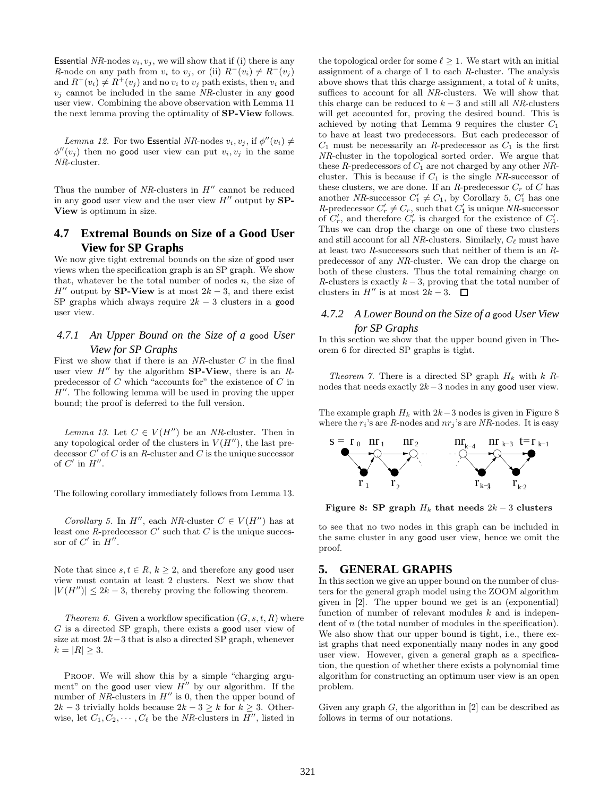Essential *NR*-nodes  $v_i, v_j$ , we will show that if (i) there is any *R*-node on any path from  $v_i$  to  $v_j$ , or (ii)  $R^-(v_i) \neq R^-(v_j)$ and  $R^+(v_i) \neq R^+(v_j)$  and no  $v_i$  to  $v_j$  path exists, then  $v_i$  and  $v_i$  cannot be included in the same *NR*-cluster in any good user view. Combining the above observation with Lemma 11 the next lemma proving the optimality of SP-View follows.

*Lemma 12.* For two **Essential** *NR*-nodes  $v_i, v_j$ , if  $\phi''(v_i) \neq$  $\phi''(v_j)$  then no good user view can put  $v_i, v_j$  in the same *NR*-cluster.

Thus the number of  $NR$ -clusters in  $H''$  cannot be reduced in any good user view and the user view  $H''$  output by  $SP-$ View is optimum in size.

# **4.7 Extremal Bounds on Size of a Good User View for SP Graphs**

We now give tight extremal bounds on the size of good user views when the specification graph is an SP graph. We show that, whatever be the total number of nodes  $n$ , the size of  $H''$  output by SP-View is at most  $2k-3$ , and there exist SP graphs which always require  $2k - 3$  clusters in a good user view.

# *4.7.1 An Upper Bound on the Size of a* good *User View for SP Graphs*

First we show that if there is an *NR*-cluster C in the final user view  $H''$  by the algorithm **SP-View**, there is an  $R$ predecessor of  $C$  which "accounts for" the existence of  $C$  in  $H''$ . The following lemma will be used in proving the upper bound; the proof is deferred to the full version.

*Lemma 13.* Let  $C \in V(H'')$  be an *NR*-cluster. Then in any topological order of the clusters in  $V(H'')$ , the last predecessor  $C'$  of C is an R-cluster and C is the unique successor of  $C'$  in  $H''$ .

The following corollary immediately follows from Lemma 13.

*Corollary 5.* In  $H''$ , each *NR*-cluster  $C \in V(H'')$  has at least one  $R$ -predecessor  $C'$  such that  $C$  is the unique successor of  $C'$  in  $H''$ .

Note that since  $s, t \in R, k \geq 2$ , and therefore any **good** user view must contain at least 2 clusters. Next we show that  $|V(H'')| \leq 2k - 3$ , thereby proving the following theorem.

*Theorem 6.* Given a workflow specification  $(G, s, t, R)$  where G is a directed SP graph, there exists a good user view of size at most  $2k-3$  that is also a directed SP graph, whenever  $k = |R| > 3.$ 

PROOF. We will show this by a simple "charging argument" on the good user view  $H''$  by our algorithm. If the number of  $NR$ -clusters in  $H''$  is 0, then the upper bound of  $2k-3$  trivially holds because  $2k-3 \geq k$  for  $k \geq 3$ . Otherwise, let  $C_1, C_2, \cdots, C_\ell$  be the *NR*-clusters in  $\overline{H}''$ , listed in

the topological order for some  $\ell > 1$ . We start with an initial assignment of a charge of 1 to each *R*-cluster. The analysis above shows that this charge assignment, a total of k units, suffices to account for all *NR*-clusters. We will show that this charge can be reduced to  $k - 3$  and still all *NR*-clusters will get accounted for, proving the desired bound. This is achieved by noting that Lemma 9 requires the cluster  $C_1$ to have at least two predecessors. But each predecessor of  $C_1$  must be necessarily an *R*-predecessor as  $C_1$  is the first *NR*-cluster in the topological sorted order. We argue that these  $R$ -predecessors of  $C_1$  are not charged by any other  $NR$ cluster. This is because if  $C_1$  is the single  $NR$ -successor of these clusters, we are done. If an *R*-predecessor  $C_r$  of C has another *NR*-successor  $C'_1 \neq C_1$ , by Corollary 5,  $C'_1$  has one *R*-predecessor  $C'_r \neq C_r$ , such that  $C'_1$  is unique *NR*-successor of  $C'_r$ , and therefore  $C'_r$  is charged for the existence of  $C'_1$ . Thus we can drop the charge on one of these two clusters and still account for all *NR*-clusters. Similarly,  $C_{\ell}$  must have at least two *R*-successors such that neither of them is an *R*predecessor of any *NR*-cluster. We can drop the charge on both of these clusters. Thus the total remaining charge on *R*-clusters is exactly  $k-3$ , proving that the total number of clusters in  $H''$  is at most  $2k-3$ .

# *4.7.2 A Lower Bound on the Size of a* good *User View for SP Graphs*

In this section we show that the upper bound given in Theorem 6 for directed SP graphs is tight.

*Theorem 7.* There is a directed SP graph  $H_k$  with  $k$   $R$ nodes that needs exactly 2k−3 nodes in any good user view.

The example graph  $H_k$  with  $2k-3$  nodes is given in Figure 8 where the  $r_i$ 's are *R*-nodes and  $nr_i$ 's are *NR*-nodes. It is easy



Figure 8: SP graph  $H_k$  that needs  $2k-3$  clusters

to see that no two nodes in this graph can be included in the same cluster in any good user view, hence we omit the proof.

### **5. GENERAL GRAPHS**

In this section we give an upper bound on the number of clusters for the general graph model using the ZOOM algorithm given in [2]. The upper bound we get is an (exponential) function of number of relevant modules  $k$  and is independent of n (the total number of modules in the specification). We also show that our upper bound is tight, i.e., there exist graphs that need exponentially many nodes in any good user view. However, given a general graph as a specification, the question of whether there exists a polynomial time algorithm for constructing an optimum user view is an open problem.

Given any graph  $G$ , the algorithm in [2] can be described as follows in terms of our notations.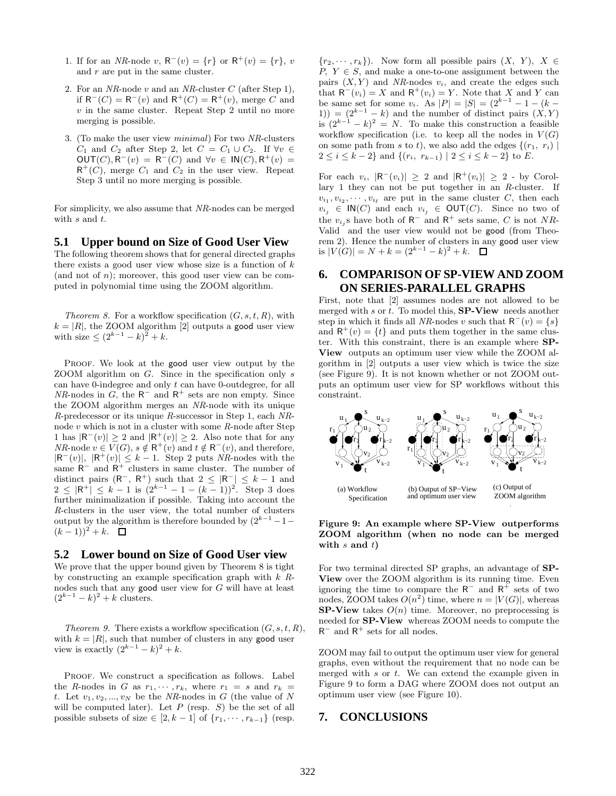- 1. If for an *NR*-node v,  $R^-(v) = \{r\}$  or  $R^+(v) = \{r\}$ , v and  $r$  are put in the same cluster.
- 2. For an *NR*-node v and an *NR*-cluster C (after Step 1), if  $R^{-}(C) = R^{-}(v)$  and  $R^{+}(C) = R^{+}(v)$ , merge C and  $v$  in the same cluster. Repeat Step 2 until no more merging is possible.
- 3. (To make the user view *minimal*) For two *NR*-clusters  $C_1$  and  $C_2$  after Step 2, let  $C = C_1 \cup C_2$ . If  $\forall v \in$  $OUT(C), R^-(v) = R^-(C)$  and  $\forall v \in IN(C), R^+(v) =$  $R^+(C)$ , merge  $C_1$  and  $C_2$  in the user view. Repeat Step 3 until no more merging is possible.

For simplicity, we also assume that *NR*-nodes can be merged with s and t.

#### **5.1 Upper bound on Size of Good User View**

The following theorem shows that for general directed graphs there exists a good user view whose size is a function of  $k$ (and not of  $n$ ); moreover, this good user view can be computed in polynomial time using the ZOOM algorithm.

*Theorem 8.* For a workflow specification  $(G, s, t, R)$ , with  $k = |R|$ , the ZOOM algorithm [2] outputs a good user view with size  $\leq (2^{k-1} - k)^2 + k$ .

PROOF. We look at the good user view output by the ZOOM algorithm on G. Since in the specification only s can have 0-indegree and only t can have 0-outdegree, for all  $NR$ -nodes in  $G$ , the R<sup>-</sup> and R<sup>+</sup> sets are non empty. Since the ZOOM algorithm merges an *NR*-node with its unique *R*-predecessor or its unique *R*-successor in Step 1, each *NR*node v which is not in a cluster with some *R*-node after Step 1 has  $|R^-(v)| \geq 2$  and  $|R^+(v)| \geq 2$ . Also note that for any *NR*-node  $v \in V(G)$ ,  $s \notin \mathsf{R}^+(v)$  and  $t \notin \mathsf{R}^-(v)$ , and therefore,  $|R^-(v)|, |R^+(v)| \leq k-1.$  Step 2 puts *NR*-nodes with the same  $R^-$  and  $R^+$  clusters in same cluster. The number of distinct pairs  $(R^-, R^+)$  such that  $2 \leq |R^-| \leq k-1$  and  $2 \leq |\mathsf{R}^+| \leq k-1$  is  $(2^{k-1}-1-(k-1))^2$ . Step 3 does further minimalization if possible. Taking into account the *R*-clusters in the user view, the total number of clusters output by the algorithm is therefore bounded by  $(2^{k-1}-1 (k-1)$ <sup>2</sup> + k.  $\Box$ 

#### **5.2 Lower bound on Size of Good User view**

We prove that the upper bound given by Theorem 8 is tight by constructing an example specification graph with k *R*nodes such that any good user view for G will have at least  $(2^{k-1} - k)^2 + k$  clusters.

*Theorem 9.* There exists a workflow specification  $(G, s, t, R)$ , with  $k = |R|$ , such that number of clusters in any good user view is exactly  $(2^{k-1} - k)^2 + k$ .

PROOF. We construct a specification as follows. Label the *R*-nodes in G as  $r_1, \dots, r_k$ , where  $r_1 = s$  and  $r_k =$ t. Let  $v_1, v_2, ..., v_N$  be the *NR*-nodes in G (the value of N will be computed later). Let  $P$  (resp.  $S$ ) be the set of all possible subsets of size  $\in [2, k-1]$  of  $\{r_1, \dots, r_{k-1}\}$  (resp.

 $\{r_2, \dots, r_k\}$ ). Now form all possible pairs  $(X, Y), X \in$  $P, Y \in S$ , and make a one-to-one assignment between the pairs  $(X, Y)$  and *NR*-nodes  $v_i$ , and create the edges such that  $\mathsf{R}^-(v_i) = X$  and  $\mathsf{R}^+(v_i) = Y$ . Note that X and Y can be same set for some  $v_i$ . As  $|P| = |S| = (2^{k-1} - 1 - (k -$ 1)) =  $(2^{k-1} - k)$  and the number of distinct pairs  $(X, Y)$ is  $(2^{k-1} - k)^2 = N$ . To make this construction a feasible workflow specification (i.e. to keep all the nodes in  $V(G)$ on some path from s to t), we also add the edges  $\{(r_1, r_i) \mid$  $2 \leq i \leq k-2$ } and  $\{(r_i, r_{k-1}) \mid 2 \leq i \leq k-2\}$  to E.

For each  $v_i$ ,  $|\mathsf{R}^{-}(v_i)| \geq 2$  and  $|\mathsf{R}^{+}(v_i)| \geq 2$  - by Corollary 1 they can not be put together in an *R*-cluster. If  $v_{i_1}, v_{i_2}, \cdots, v_{i_\ell}$  are put in the same cluster C, then each  $v_{i_j} \in \mathsf{IN}(C)$  and each  $v_{i_j} \in \mathsf{OUT}(C)$ . Since no two of the  $v_{i,j}$ s have both of  $R^-$  and  $R^+$  sets same, C is not NR-Valid and the user view would not be good (from Theorem 2). Hence the number of clusters in any good user view is  $|V(G)| = N + k = (2^{k-1} - k)^2 + k$ .

# **6. COMPARISON OF SP-VIEW AND ZOOM ON SERIES-PARALLEL GRAPHS**

First, note that [2] assumes nodes are not allowed to be merged with s or  $t$ . To model this, **SP-View** needs another step in which it finds all *NR*-nodes v such that  $R^-(v) = \{s\}$ and  $R^+(v) = \{t\}$  and puts them together in the same cluster. With this constraint, there is an example where SP-View outputs an optimum user view while the ZOOM algorithm in [2] outputs a user view which is twice the size (see Figure 9). It is not known whether or not ZOOM outputs an optimum user view for SP workflows without this constraint.



Figure 9: An example where SP-View outperforms ZOOM algorithm (when no node can be merged with  $s$  and  $t$ )

For two terminal directed SP graphs, an advantage of SP-View over the ZOOM algorithm is its running time. Even ignoring the time to compare the  $R^-$  and  $R^+$  sets of two nodes, ZOOM takes  $O(n^2)$  time, where  $n = |V(G)|$ , whereas **SP-View** takes  $O(n)$  time. Moreover, no preprocessing is needed for SP-View whereas ZOOM needs to compute the  $\mathsf{R}^-$  and  $\mathsf{R}^+$  sets for all nodes.

ZOOM may fail to output the optimum user view for general graphs, even without the requirement that no node can be merged with  $s$  or  $t$ . We can extend the example given in Figure 9 to form a DAG where ZOOM does not output an optimum user view (see Figure 10).

### **7. CONCLUSIONS**